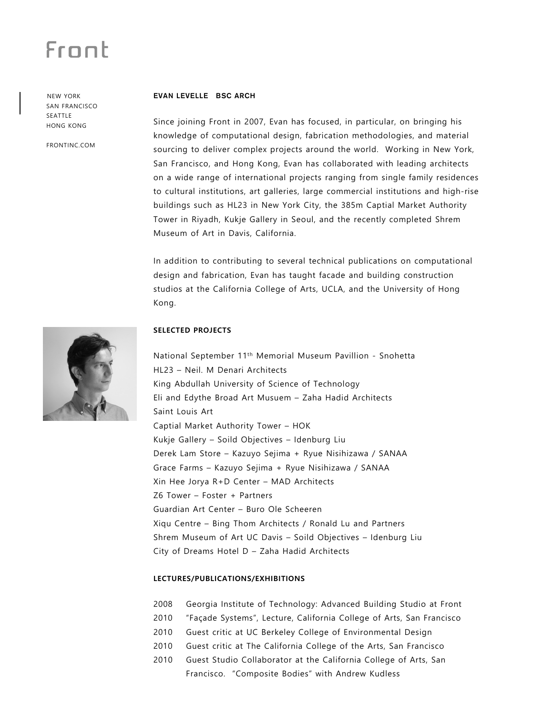## Frant

 NEW YORK SAN FRANCISCO SEATTLE HONG KONG

FRONTINC.COM

#### **EVAN LEVELLE BSC ARCH**

Since joining Front in 2007, Evan has focused, in particular, on bringing his knowledge of computational design, fabrication methodologies, and material sourcing to deliver complex projects around the world. Working in New York, San Francisco, and Hong Kong, Evan has collaborated with leading architects on a wide range of international projects ranging from single family residences to cultural institutions, art galleries, large commercial institutions and high-rise buildings such as HL23 in New York City, the 385m Captial Market Authority Tower in Riyadh, Kukje Gallery in Seoul, and the recently completed Shrem Museum of Art in Davis, California.

In addition to contributing to several technical publications on computational design and fabrication, Evan has taught facade and building construction studios at the California College of Arts, UCLA, and the University of Hong Kong.



#### **SELECTED PROJECTS**

National September 11th Memorial Museum Pavillion - Snohetta HL23 – Neil. M Denari Architects King Abdullah University of Science of Technology Eli and Edythe Broad Art Musuem – Zaha Hadid Architects Saint Louis Art Captial Market Authority Tower – HOK Kukje Gallery – Soild Objectives – Idenburg Liu Derek Lam Store – Kazuyo Sejima + Ryue Nisihizawa / SANAA Grace Farms – Kazuyo Sejima + Ryue Nisihizawa / SANAA Xin Hee Jorya R+D Center – MAD Architects Z6 Tower – Foster + Partners Guardian Art Center – Buro Ole Scheeren Xiqu Centre – Bing Thom Architects / Ronald Lu and Partners Shrem Museum of Art UC Davis – Soild Objectives – Idenburg Liu City of Dreams Hotel D – Zaha Hadid Architects

#### **LECTURES/PUBLICATIONS/EXHIBITIONS**

- 2008 Georgia Institute of Technology: Advanced Building Studio at Front
- 2010 "Façade Systems", Lecture, California College of Arts, San Francisco
- 2010 Guest critic at UC Berkeley College of Environmental Design
- 2010 Guest critic at The California College of the Arts, San Francisco
- 2010 Guest Studio Collaborator at the California College of Arts, San Francisco. "Composite Bodies" with Andrew Kudless